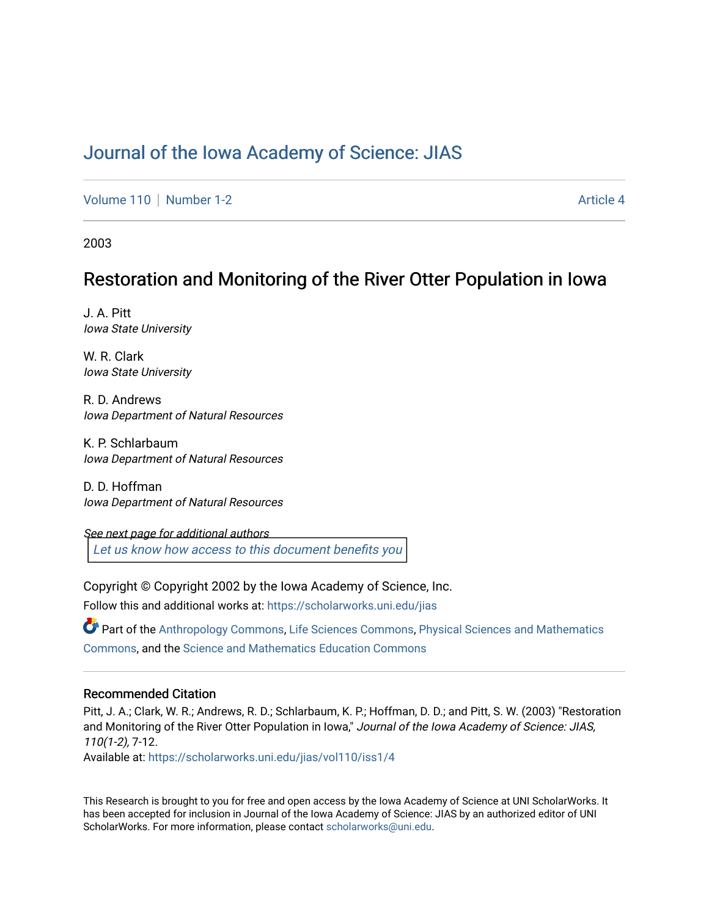# [Journal of the Iowa Academy of Science: JIAS](https://scholarworks.uni.edu/jias)

[Volume 110](https://scholarworks.uni.edu/jias/vol110) | [Number 1-2](https://scholarworks.uni.edu/jias/vol110/iss1) Article 4

2003

# Restoration and Monitoring of the River Otter Population in Iowa

J. A. Pitt Iowa State University

W. R. Clark Iowa State University

R. D. Andrews Iowa Department of Natural Resources

K. P. Schlarbaum Iowa Department of Natural Resources

D. D. Hoffman Iowa Department of Natural Resources

See next page for additional authors [Let us know how access to this document benefits you](https://scholarworks.uni.edu/feedback_form.html) 

Copyright © Copyright 2002 by the Iowa Academy of Science, Inc.

Follow this and additional works at: [https://scholarworks.uni.edu/jias](https://scholarworks.uni.edu/jias?utm_source=scholarworks.uni.edu%2Fjias%2Fvol110%2Fiss1%2F4&utm_medium=PDF&utm_campaign=PDFCoverPages) 

Part of the [Anthropology Commons](http://network.bepress.com/hgg/discipline/318?utm_source=scholarworks.uni.edu%2Fjias%2Fvol110%2Fiss1%2F4&utm_medium=PDF&utm_campaign=PDFCoverPages), [Life Sciences Commons](http://network.bepress.com/hgg/discipline/1016?utm_source=scholarworks.uni.edu%2Fjias%2Fvol110%2Fiss1%2F4&utm_medium=PDF&utm_campaign=PDFCoverPages), [Physical Sciences and Mathematics](http://network.bepress.com/hgg/discipline/114?utm_source=scholarworks.uni.edu%2Fjias%2Fvol110%2Fiss1%2F4&utm_medium=PDF&utm_campaign=PDFCoverPages)  [Commons](http://network.bepress.com/hgg/discipline/114?utm_source=scholarworks.uni.edu%2Fjias%2Fvol110%2Fiss1%2F4&utm_medium=PDF&utm_campaign=PDFCoverPages), and the [Science and Mathematics Education Commons](http://network.bepress.com/hgg/discipline/800?utm_source=scholarworks.uni.edu%2Fjias%2Fvol110%2Fiss1%2F4&utm_medium=PDF&utm_campaign=PDFCoverPages) 

## Recommended Citation

Pitt, J. A.; Clark, W. R.; Andrews, R. D.; Schlarbaum, K. P.; Hoffman, D. D.; and Pitt, S. W. (2003) "Restoration and Monitoring of the River Otter Population in Iowa," Journal of the Iowa Academy of Science: JIAS, 110(1-2), 7-12.

Available at: [https://scholarworks.uni.edu/jias/vol110/iss1/4](https://scholarworks.uni.edu/jias/vol110/iss1/4?utm_source=scholarworks.uni.edu%2Fjias%2Fvol110%2Fiss1%2F4&utm_medium=PDF&utm_campaign=PDFCoverPages)

This Research is brought to you for free and open access by the Iowa Academy of Science at UNI ScholarWorks. It has been accepted for inclusion in Journal of the Iowa Academy of Science: JIAS by an authorized editor of UNI ScholarWorks. For more information, please contact [scholarworks@uni.edu](mailto:scholarworks@uni.edu).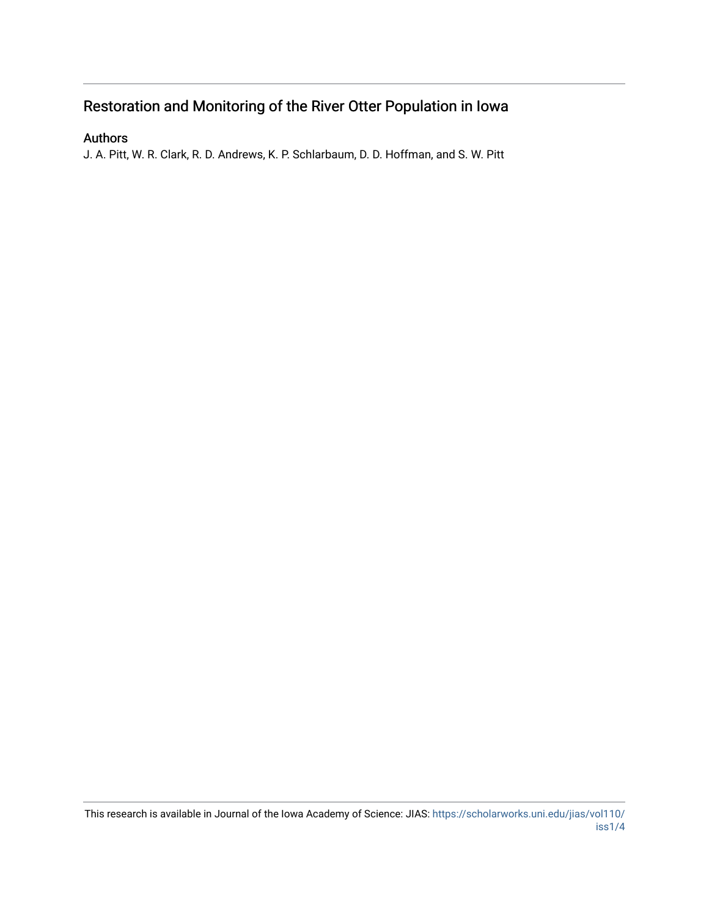# Restoration and Monitoring of the River Otter Population in Iowa

## Authors

J. A. Pitt, W. R. Clark, R. D. Andrews, K. P. Schlarbaum, D. D. Hoffman, and S. W. Pitt

This research is available in Journal of the Iowa Academy of Science: JIAS: [https://scholarworks.uni.edu/jias/vol110/](https://scholarworks.uni.edu/jias/vol110/iss1/4) [iss1/4](https://scholarworks.uni.edu/jias/vol110/iss1/4)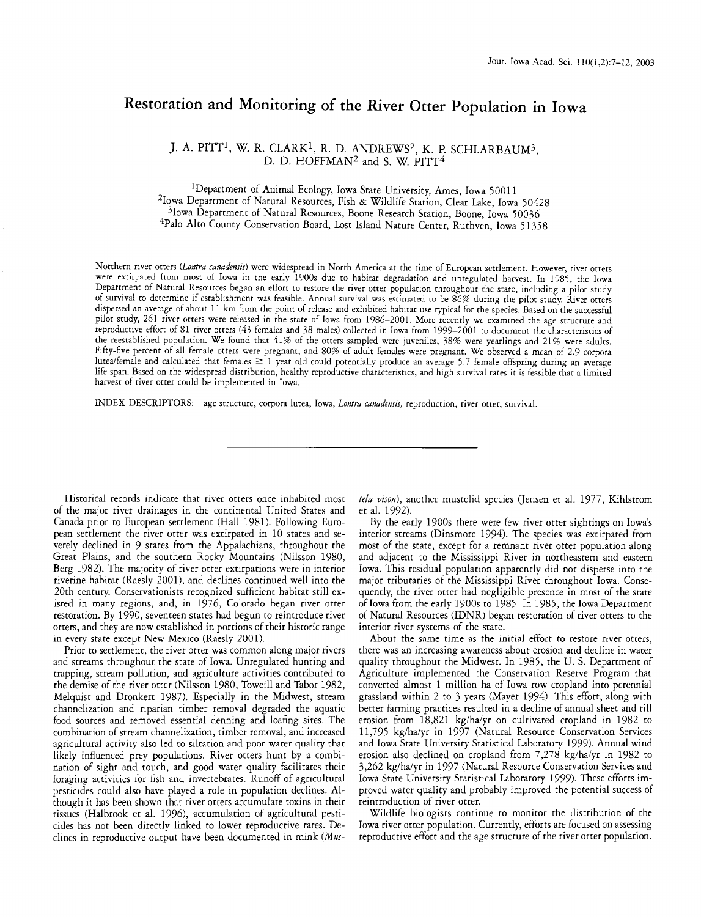# **Restoration and Monitoring of the River Otter Population 1n Iowa**

### *].* A. PITT1, W.R. CLARK1, R. D. ANDREWS2 , K. P. SCHLARBAUM3, D. D. HOFFMAN<sup>2</sup> and S. W. PITT<sup>4</sup>

<sup>1</sup>Department of Animal Ecology, Iowa State University, Ames, Iowa 50011 2Iowa Department of Natural Resources, Fish & Wildlife Station, Clear Lake, Iowa 50428  $3$ Iowa Department of Natural Resources, Boone Research Station, Boone, Iowa 50036 Palo Alto County Conservation Board, Lost Island Nature Center, Ruthven, Iowa 51358

Northern river otters *(Lontra canadensis)* were widespread in North America at the time of European settlement. However, river otters were extirpated from most of Iowa in the early 1900s due ro habitat degradation and unregulated harvest. In 1985, the Iowa Department of Natural Resources began an effort to restore the river otter population throughout the state, including a pilot study of survival to determine if establishment was feasible. Annual survival was estimated to be 86% during the pilot study. River otters dispersed an average of about 11 km from the point of release and exhibited habitat use typical for the species. Based on the successful pilot study, 261 river otters were released in the state of Iowa from 1986-2001. More recently we examined the age structure and reproductive effort of 81 river otters (43 females and 38 males) collected in Iowa from 1999-2001 to document the characteristics of the reestablished population. We found that 41% of the otters sampled were juveniles, 38% were yearlings and 21% were adults. Fifty-five percent of all female otters were pregnant, and 80% of adult females were pregnant. We observed a mean of 2.9 corpora lutea/female and calculated that females  $\geq 1$  year old could potentially produce an average 5.7 female offspring during an average life span. Based on the widespread distribution, healthy reproductive characteristics, and high survival rates it is feasible that a limited harvest of river otter could be implemented in Iowa.

INDEX DESCRIPTORS: age structure, corpora lutea, Iowa, *Lontra canadensis,* reproduction, river otter, survival.

Historical records indicate that river otters once inhabited most of the major river drainages in the continental United States and Canada prior to European settlement (Hall 1981). Following European settlement the river otter was extirpated in 10 states and severely declined in 9 states from the Appalachians, throughout the Great Plains, and the southern Rocky Mountains (Nilsson 1980, Berg 1982). The majority of river otter extirpations were in interior riverine habitat (Raesly 2001), and declines continued well into the 20th century. Conservationists recognized sufficient habitat still existed in many regions, and, in 1976, Colorado began river otter restoration. By 1990, seventeen states had begun to reintroduce river otters, and they are now established in portions of their historic range in every state except New Mexico (Raesly 2001).

Prior to settlement, the river otter was common along major rivers and streams throughout the state of Iowa. Unregulated hunting and trapping, stream pollution, and agriculture activities contributed to the demise of the river otter (Nilsson 1980, Toweill and Tabor 1982, Melquist and Dronkert 1987). Especially in the Midwest, stream channelization and riparian timber removal degraded the aquatic food sources and removed essential denning and loafing sites. The combination of stream channelization, timber removal, and increased agricultural activity also led to siltation and poor water quality that likely influenced prey populations. River otters hunt by a combination of sight and touch, and good water quality facilitates their foraging activities for fish and invertebrates. Runoff of agricultural pesticides could also have played a role in population declines. Although it has been shown that river otters accumulate toxins in their tissues (Halbrook et al. 1996), accumulation of agricultural pesticides has not been directly linked to lower reproductive rates. Declines in reproductive output have been documented in mink *(Mus-* *tela vison* ), another mustelid species (Jensen et al. 1977, Kihlstrom et al. 1992).

By the early 1900s there were few river otter sightings on Iowa's interior streams (Dinsmore 1994). The species was extirpated from most of the state, except for a remnant river otter population along and adjacent to the Mississippi River in northeastern and eastern Iowa. This residual population apparently did not disperse into the major tributaries of the Mississippi River throughout Iowa. Consequently, the river otter had negligible presence in most of the state of Iowa from the early 1900s to 1985. In 1985, the Iowa Department of Natural Resources (IDNR) began restoration of river otters to the interior river systems of the state.

About the same time as the initial effort to restore river otters, there was an increasing awareness about erosion and decline in water quality throughout the Midwest. In 1985, the U. S. Department of Agriculture implemented the Conservation Reserve Program that converted almost 1 million ha of Iowa row cropland into perennial grassland within 2 to 3 years (Mayer 1994). This effort, along with better farming practices resulted in a decline of annual sheet and rill erosion from 18,821 kg/ha/yr on cultivated cropland in 1982 to 11,795 kg/ha/yr in 1997 (Natural Resource Conservation Services and Iowa State University Statistical Laboratory 1999). Annual wind erosion also declined on cropland from 7,278 kg/ha/yr in 1982 to 3,262 kg/ha/yr in 1997 (Natural Resource Conservation Services and Iowa State University Statistical Laboratory 1999). These efforts improved water quality and probably improved the potential success of reintroduction of river otter.

Wildlife biologists continue to monitor the distribution of the Iowa river otter population. Currently, efforts are focused on assessing reproductive effort and the age structure of the river otter population.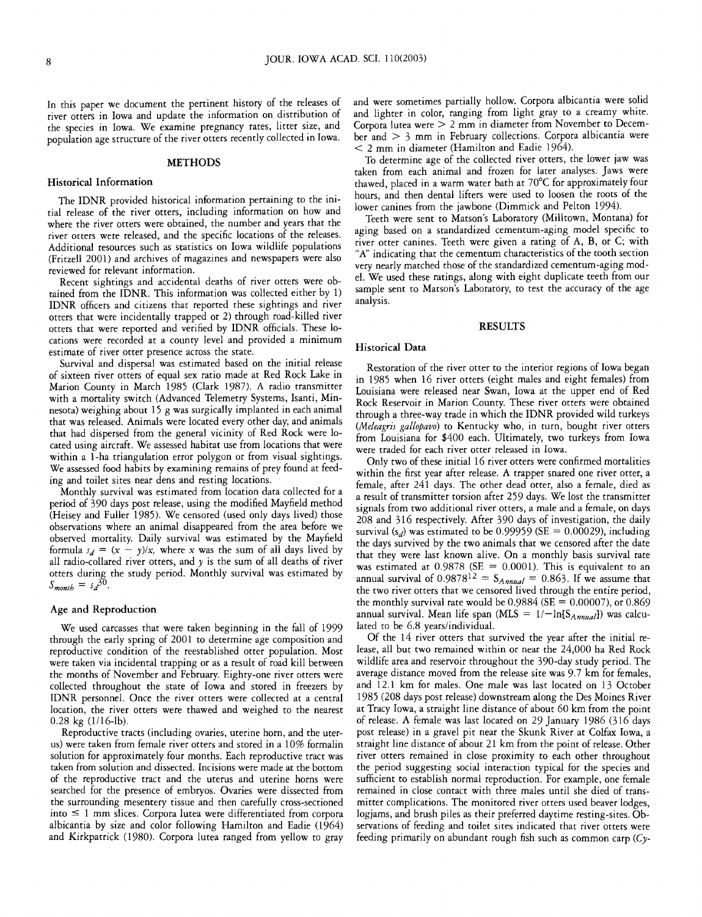In this paper we document the pertinent history of the releases of river otters in Iowa and update the information on distribution of the species in Iowa. We examine pregnancy rates, litter size, and population age structure of the river otters recently collected in Iowa.

#### **METHODS**

#### Historical Information

The IDNR provided historical information pertaining to the initial release of the river otters, including information on how and where the river otters were obtained, the number and years that the river otters were released, and the specific locations of the releases. Additional resources such as statistics on Iowa wildlife populations (Fritzell 2001) and archives of magazines and newspapers were also reviewed for relevant information.

Recent sightings and accidental deaths of river otters were obtained from the IDNR. This information was collected either by 1) IDNR officers and citizens that reported these sightings and river otters that were incidentally trapped or 2) through road-killed river otters that were reported and verified by IDNR officials. These locations were recorded at a county level and provided a minimum estimate of river otter presence across the state.

Survival and dispersal was estimated based on the initial release of sixteen river otters of equal sex ratio made at Red Rock Lake in Marion County in March 1985 (Clark 1987). A radio transmitter with a mortality switch (Advanced Telemetry Systems, Isanti, Minnesota) weighing about 15 g was surgically implanted in each animal that was released. Animals were located every other day, and animals that had dispersed from the general vicinity of Red Rock were located using aircraft. We assessed habitat use from locations that were within a 1-ha triangulation error polygon or from visual sightings. We assessed food habits by examining remains of prey found at feeding and toilet sites near dens and resting locations.

Monthly survival was estimated from location data collected for a period of 390 days post release, using the modified Mayfield method (Heisey and Fuller 1985). We censored (used only days lived) those observations where an animal disappeared from the area before we observed mortality. Daily survival was estimated by the Mayfield formula  $s_d = (x - y)/x$ , where x was the sum of all days lived by all radio-collared river otters, and  $y$  is the sum of all deaths of river otters during the study period. Monthly survival was estimated by  $S_{month} = s_d^{30}$ .

#### Age and Reproduction

We used carcasses that were taken beginning in the fall of 1999 through the early spring of 2001 to determine age composition and reproductive condition of the reestablished otter population. Most were taken via incidental trapping or as a result of road kill between the months of November and February. Eighty-one river otters were collected throughout the state of Iowa and stored in freezers by IDNR personnel. Once the river otters were collected at a central location, the river otters were thawed and weighed to the nearest 0.28 kg (1116-lb).

Reproductive tracts (including ovaries, uterine horn, and the uterus) were taken from female river otters and stored in a 10% formalin solution for approximately four months. Each reproductive tract was taken from solution and dissected. Incisions were made at the bottom of the reproductive tract and the uterus and uterine horns were searched for the presence of embryos. Ovaries were dissected from the surrounding mesentery tissue and then carefully cross-sectioned  $into \leq 1$  mm slices. Corpora lutea were differentiated from corpora albicantia by size and color following Hamilton and Eadie (1964) and Kirkpatrick (1980). Corpora lutea ranged from yellow to gray

and were sometimes partially hollow. Corpora albicantia were solid and lighter in color, ranging from light gray to a creamy white. Corpora lutea were > 2 mm in diameter from November to Decem $ber$  and  $> 3$  mm in February collections. Corpora albicantia were < 2 mm in diameter (Hamilton and Eadie 1964).

To determine age of the collected river otters, the lower jaw was taken from each animal and frozen for later analyses. Jaws were thawed, placed in a warm water bath at 70°C for approximately four hours, and then dental lifters were used to loosen the roots of the lower canines from the jawbone (Dimmick and Pelton 1994).

Teeth were sent to Matson's Laboratory (Milltown, Montana) for aging based on a standardized cementum-aging model specific to river otter canines. Teeth were given a rating of A, B, or C; with "A" indicating that the cementum characteristics of the tooth section very nearly matched those of the standardized cementum-aging model. We used these ratings, along with eight duplicate teeth from our sample sent to Matson's Laboratory, to test the accuracy of the age analysis.

#### RESULTS

#### Historical Data

Restoration of the river otter to the interior regions of Iowa began in 1985 when 16 river otters (eight males and eight females) from Louisiana were released near Swan, Iowa at the upper end of Red Rock Reservoir in Marion County. These river otters were obtained through a three-way trade in which the IDNR provided wild turkeys *(Meleagris gallopavo)* to Kentucky who, in turn, bought river otters from Louisiana for \$400 each. Ultimately, two turkeys from Iowa were traded for each river otter released in Iowa.

Only two of these initial 16 river otters were confirmed mortalities within the first year after release. A trapper snared one river otter, a female, after 241 days. The other dead otter, also a female, died as a result of transmitter torsion after 259 days. We lost the transmitter signals from two additional river otters, a male and a female, on days 208 and 316 respectively. After 390 days of investigation, the daily survival (s<sub>d</sub>) was estimated to be 0.99959 (SE = 0.00029), including the days survived by the two animals that we censored after the date that they were last known alive. On a monthly basis survival rate was estimated at  $0.9878$  (SE = 0.0001). This is equivalent to an annual survival of  $0.9878^{12} = S_{Annual} = 0.863$ . If we assume that the two river otters that we censored lived through the entire period, the monthly survival rate would be 0.9884 (SE =  $0.00007$ ), or 0.869 annual survival. Mean life span (MLS =  $1/-ln[S_{Annual}]}$ ) was calculated to be 6.8 years/individual.

Of the 14 river otters that survived the year after the initial release, all but two remained within or near the 24,000 ha Red Rock wildlife area and reservoir throughout the 390-day study period. The average disrance moved from the release site was 9.7 km for females, and 12.1 km for males. One male was last located on 13 October 1985 (208 days post release) downstream along the Des Moines River at Tracy Iowa, a straight line distance of about 60 km from the point of release. A female was last located on 29 January 1986 (316 days post release) in a gravel pit near the Skunk River at Colfax Iowa, a straight line distance of about 21 km from the point of release. Other river otters remained in close proximity to each other throughout the period suggesting social interaction typical for the species and sufficient to establish normal reproduction. For example, one female remained in close contact with three males until she died of transmitter complications. The monitored river otters used beaver lodges, logjams, and brush piles as their preferred daytime resting-sites. Observations of feeding and toilet sites indicated that river otters were feeding primarily on abundant rough fish such as common carp (Cy-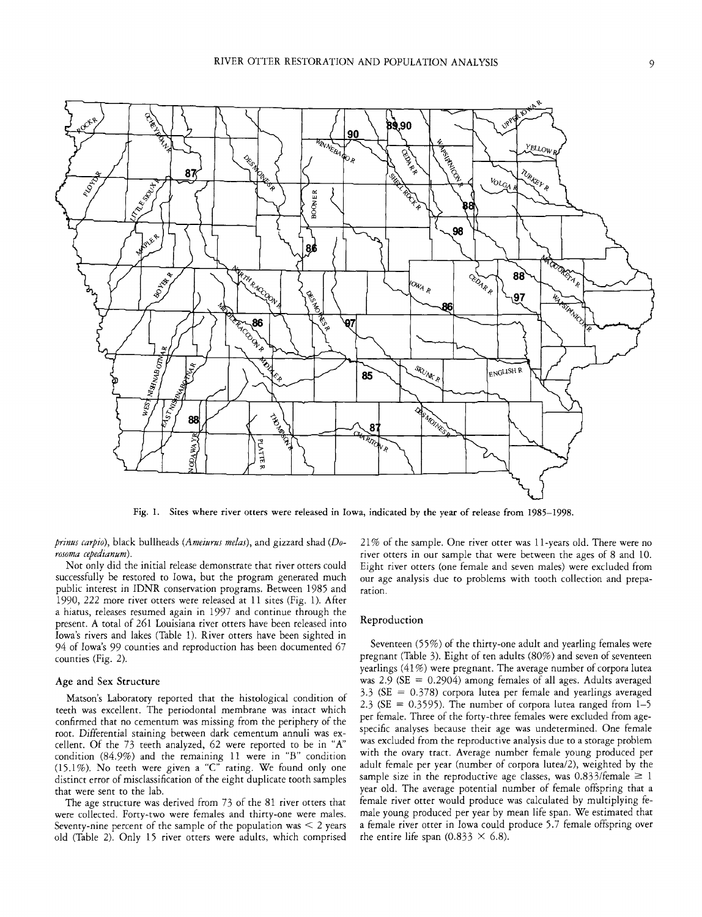

Fig. 1. Sites where river otters were released in Iowa, indicated by the year of release from 1985-1998.

*prinus carpio),* black bullheads *(Ameiurus me/as),* and gizzard shad (Do*rosoma cepedianum).* 

Not only did the initial release demonstrate that river otters could successfully be restored to Iowa, but the program generated much public interest in IDNR conservation programs. Between 1985 and 1990, 222 more river otters were released at 11 sites (Fig. 1). After a hiatus, releases resumed again in 1997 and continue through the present. A total of 261 Louisiana river otters have been released into Iowa's rivers and lakes (Table 1). River otters have been sighted in 94 of Iowa's 99 counties and reproduction has been documented 67 counties (Fig. 2).

### Age and Sex Structure

Matson's Laboratory reported that the histological condition of teeth was excellent. The periodontal membrane was intact which confirmed that no cementum was missing from the periphery of the *root.* Differential staining between dark cementum annuli was excellent. Of the  $73$  teeth analyzed,  $62$  were reported to be in "A" condition (84.9%) and the remaining 11 were in "B" condition (15.1%). No teeth were given a "C" rating. We found only one distinct error of misclassification of the eight duplicate tooth samples that were sent to the lab.

The age structure was derived from 73 of the 81 river otters that were collected. Forty-two were females and thirty-one were males. Seventy-nine percent of the sample of the population was  $\leq 2$  years old (Table 2). Only 15 river otters were adults, which comprised 21 % of the sample. One river otter was 11-years old. There were no river otters in our sample that were between the ages of 8 and 10. Eight river otters (one female and seven males) were excluded from our age analysis due ro problems with tooth collection and preparation.

#### Reproduction

Seventeen (55%) of the thirty-one adult and yearling females were pregnant (Table 3). Eight of ten adults (80%) and seven of seventeen yearlings (41%) were pregnant. The average number of corpora lutea was 2.9 ( $SE = 0.2904$ ) among females of all ages. Adults averaged  $3.3$  (SE = 0.378) corpora lutea per female and yearlings averaged 2.3 ( $SE = 0.3595$ ). The number of corpora lutea ranged from  $1-5$ per female. Three of the forty-three females were excluded from agespecific analyses because their age was undetermined. One female was excluded from the reproductive analysis due to a storage problem with the ovary tract. Average number female young produced per adult female per year (number of corpora lutea/2), weighted by the sample size in the reproductive age classes, was  $0.833$ /female  $\geq 1$ year old. The average potential number of female offspring that a female river otter would produce was calculated by multiplying female young produced per year by mean life span. We estimated that a female river otter in Iowa could produce 5.7 female offspring over the entire life span (0.833  $\times$  6.8).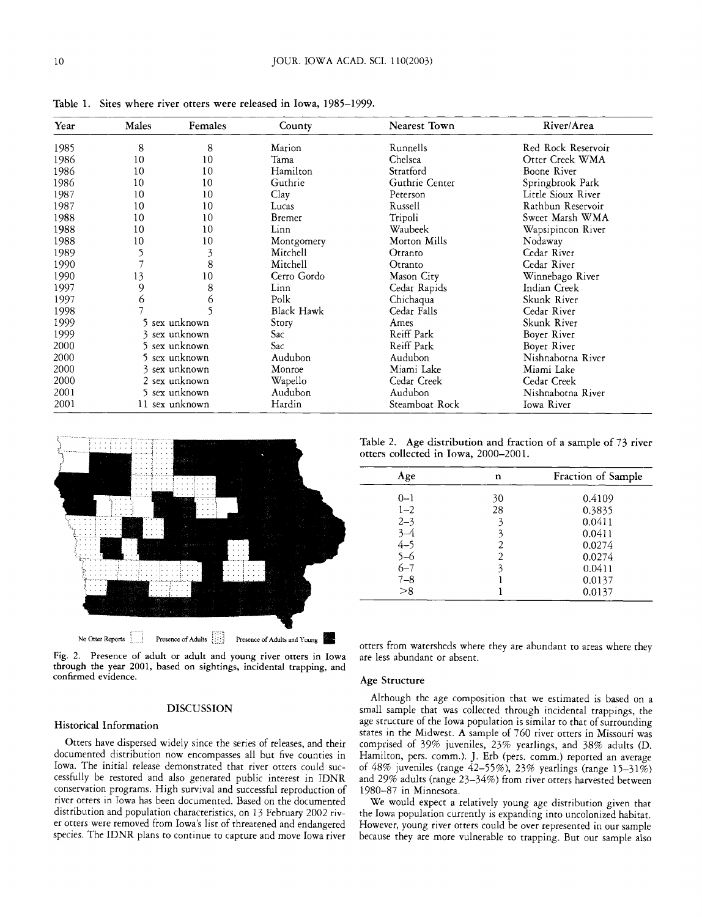| Year | Males         | <b>Females</b> | County      | Nearest Town   | River/Area         |
|------|---------------|----------------|-------------|----------------|--------------------|
| 1985 | 8             | 8              | Marion      | Runnells       | Red Rock Reservoir |
| 1986 | 10            | 10             | Tama        | Chelsea        | Otter Creek WMA    |
| 1986 | 10            | 10             | Hamilton    | Stratford      | Boone River        |
| 1986 | 10            | 10             | Guthrie     | Guthrie Center | Springbrook Park   |
| 1987 | 10            | 10             | Clay        | Peterson       | Little Sioux River |
| 1987 | 10            | 10             | Lucas       | Russell        | Rathbun Reservoir  |
| 1988 | 10            | 10             | Bremer      | Tripoli        | Sweet Marsh WMA    |
| 1988 | 10            | 10             | Linn        | Waubeek        | Wapsipincon River  |
| 1988 | 10            | 10             | Montgomery  | Morton Mills   | Nodaway            |
| 1989 |               | 3              | Mitchell    | Otranto        | Cedar River        |
| 1990 |               | 8              | Mitchell    | Otranto        | Cedar River        |
| 1990 | 13            | 10             | Cerro Gordo | Mason City     | Winnebago River    |
| 1997 | 9             | 8              | Linn        | Cedar Rapids   | Indian Creek       |
| 1997 | 6             | O              | Polk        | Chichaqua      | Skunk River        |
| 1998 |               |                | Black Hawk  | Cedar Falls    | Cedar River        |
| 1999 |               | sex unknown    | Story       | Ames           | Skunk River        |
| 1999 |               | 3 sex unknown  | Sac         | Reiff Park     | Boyer River        |
| 2000 |               | 5 sex unknown  | Sac         | Reiff Park     | Boyer River        |
| 2000 |               | 5 sex unknown  | Audubon     | Audubon        | Nishnabotna River  |
| 2000 | 3 sex unknown |                | Monroe      | Miami Lake     | Miami Lake         |
| 2000 | 2 sex unknown |                | Wapello     | Cedar Creek    | Cedar Creek        |
| 2001 |               | 5 sex unknown  | Audubon     | Audubon        | Nishnabotna River  |
| 2001 |               | 11 sex unknown | Hardin      | Steamboat Rock | Iowa River         |

Table 1. Sites where river otters were released in Iowa, 1985-1999.



Fig. 2. Presence of adult or adult and young river otters in Iowa through the year 2001, based on sightings, incidental trapping, and confirmed evidence.

### DISCUSSION

#### Historical Information

Otters have dispersed widely since the series of releases, and their documented distribution now encompasses all but five counties in Iowa. The initial release demonstrated that river otters could successfully be restored and also generated public interest in IDNR conservation programs. High survival and successful reproduction of river otters in Iowa has been documented. Based on the documented distribution and population characteristics, on 13 February 2002 river otters were removed from Iowa's list of threatened and endangered species. The IDNR plans to continue to capture and move Iowa river

Table 2. Age distribution and fraction of a sample of 73 river otters collected in Iowa, 2000-2001.

| Age     | n  | Fraction of Sample |
|---------|----|--------------------|
| 0-1     | 30 | 0.4109             |
| $1 - 2$ | 28 | 0.3835             |
| $2 - 3$ |    | 0.0411             |
| $3 - 4$ |    | 0.0411             |
| $4 - 5$ | 2  | 0.0274             |
| $5 - 6$ |    | 0.0274             |
| $6 - 7$ |    | 0.0411             |
| $7 - 8$ |    | 0.0137             |
| > 8     |    | 0.0137             |

otters from watersheds where they are abundant to areas where they are less abundant or absent.

#### Age Structure

Although the age composition that we estimated is based on a small sample that was collected through incidental trappings, the age structure of the Iowa population is similar to that of surrounding states in the Midwest. A sample of 760 river otters in Missouri was comprised of 39% juveniles, 23% yearlings, and 38% adults (D. Hamilton, pers. comm.). *].* Erb (pers. comm.) reported an average of 48% juveniles (range 42-55%), 23% yearlings (range 15-31%) and 29% adults (range 23-34%) from river otters harvested between 1980-87 in Minnesota.

We would expect a relatively young age distribution given that the Iowa population currently is expanding into uncolonized habitat. However, young river otters could be over represented in our sample because they are more vulnerable to trapping. But our sample also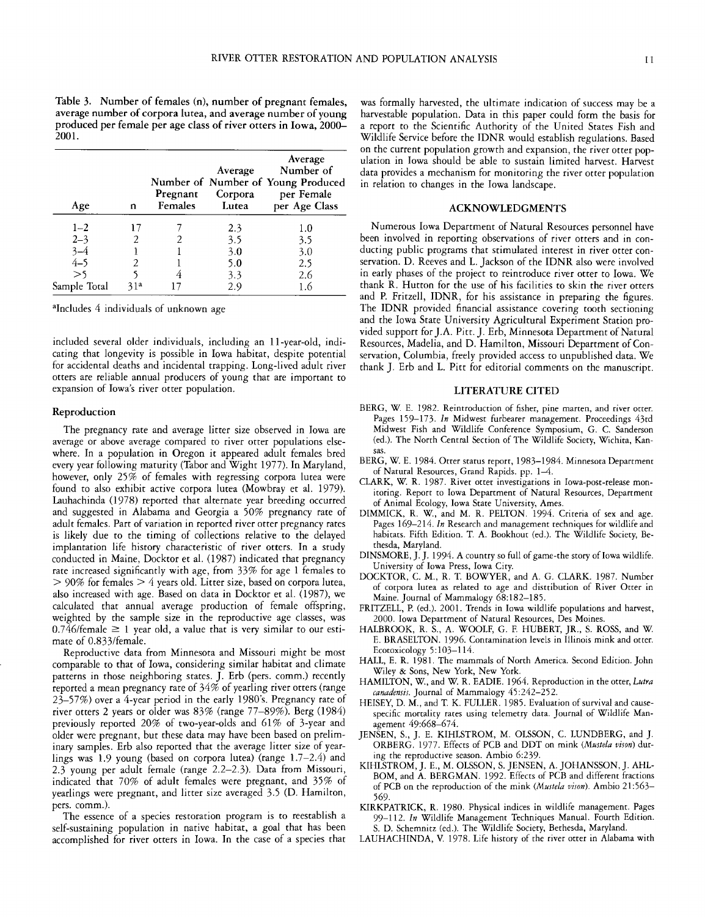Table 3. Number of females (n), number of pregnant females, average number of corpora lutea, and average number of young produced per female per age class of river otters in Iowa, 2000- 2001.

| Age          | n   | Pregnant<br><b>Females</b> | Average<br>Corpora<br>Lutea | Average<br>Number of<br>Number of Number of Young Produced<br>per Female<br>per Age Class |
|--------------|-----|----------------------------|-----------------------------|-------------------------------------------------------------------------------------------|
| $1 - 2$      |     |                            | 2.3                         | 1.0                                                                                       |
| $2 - 3$      |     |                            | 3.5                         | 3.5                                                                                       |
| $3 - 4$      |     |                            | 3.0                         | 3.0                                                                                       |
| $4 - 5$      |     |                            | 5.0                         | 2.5                                                                                       |
| >5           |     |                            | 3.3                         | 2.6                                                                                       |
| Sample Total | 31a |                            | 2.9                         | l.6                                                                                       |

<sup>a</sup>Includes 4 individuals of unknown age

included several older individuals, including an 11-year-old, indicating that longevity is possible in Iowa habitat, despite potential for accidental deaths and incidental trapping. Long-lived adult river otters are reliable annual producers of young that are important to expansion of Iowa's river otter population.

#### Reproduction

The pregnancy rate and average litter size observed in Iowa are average or above average compared to river otter populations elsewhere. In a population in Oregon it appeared adult females bred every year following maturity (Tabor and Wight 1977). In Maryland, however, only  $25\%$  of females with regressing corpora lutea were found to also exhibit active corpora lutea (Mowbray et al. 1979). Lauhachinda (1978) reported that alternate year breeding occurred and suggested in Alabama and Georgia a 50% pregnancy rate of adult females. Part of variation in reported river otter pregnancy rates is likely due to the timing of collections relative to the delayed implantation life history characteristic of river otters. In a study conducted in Maine, Docktor et al. (1987) indicated that pregnancy rate increased significantly with age, from 33% for age 1 females to  $>$  90% for females  $>$  4 years old. Litter size, based on corpora lutea, also increased with age. Based on data in Docktor et al. (1987), we calculated that annual average production of female offspring, weighted by the sample size in the reproductive age classes, was  $0.746$ /female  $\geq 1$  year old, a value that is very similar to our estimate of 0.833/female.

Reproductive data from Minnesota and Missouri might be most comparable to that of Iowa, considering similar habitat and climate patterns in those neighboring states. *].* Erb (pers. comm.) recently reported a mean pregnancy rate of 34% of yearling river otters (range 23-57%) over a 4-year period in the early 1980's. Pregnancy rate of river otters 2 years or older was 83% (range 77-89%). Berg (1984) previously reported 20% of two-year-olds and 61% of 3-year and older were pregnant, but these data may have been based on preliminary samples. Erb also reported that the average litter size of yearlings was 1.9 young (based on corpora lutea) (range  $1.7-2.4$ ) and 2.3 young per adult female (range 2.2-2.3). Data from Missouri, indicated that 70% of adult females were pregnant, and 35% of yearlings were pregnant, and litter size averaged 3.5 (D. Hamilton, pers. comm.).

The essence of a species restoration program is to reestablish a self-sustaining population in native habitat, a goal that has been accomplished for river otters in Iowa. In the case of a species that

was formally harvested, the ultimate indication of success may be a harvestable population. Data in this paper could form the basis for a report to the Scientific Authority of the United States Fish and Wildlife Service before the IDNR would establish regulations. Based on the current population growth and expansion, the river otter population in Iowa should be able to sustain limited harvest. Harvest data provides a mechanism for monitoring the river otter population in relation to changes in the Iowa landscape.

#### ACKNOWLEDGMENTS

Numerous Iowa Department of Natural Resources personnel have been involved in reporting observations of river otters and in conducting public programs that stimulated interest in river otter conservation. D. Reeves and L. Jackson of the IDNR also were involved in early phases of the project to reintroduce river otter to Iowa. We thank R. Hutton for the use of his facilities to skin the river otters and P. Fritzell, IDNR, for his assistance in preparing the figures. The IDNR provided financial assistance covering tooth sectioning and the Iowa State University Agricultural Experiment Station provided support for J.A. Pitt.]. Erb, Minnesota Department of Natural Resources, Madelia, and D. Hamilton, Missouri Department of Conservation, Columbia, freely provided access to unpublished data. We thank *].* Erb and L. Pitt for editorial comments on the manuscript.

#### LITERATURE CITED

- BERG, W. E. 1982. Reintroduction of fisher, pine marten, and river otter. Pages 159-173. *In* Midwest furbearer management. Proceedings 43td Midwest Fish and Wildlife Conference Symposium, G. C. Sanderson (ed.). The North Central Section of The Wildlife Society, Wichita, Kansas.
- BERG, W. E. 1984. Otter status report, 1983-1984. Minnesota Department of Natural Resources, Grand Rapids. pp. 1-4.
- CLARK, W. R. 1987. River otter investigations in Iowa-post-release monitoring. Report to Iowa Department of Natural Resources, Department of Animal Ecology, Iowa State University, Ames.
- DIMMICK, R. W., and M. R. PELTON. 1994. Criteria of sex and age. Pages 169-214. In Research and management techniques for wildlife and habitats. Fifth Edition. T. A. Bookhout (ed.). The Wildlife Society, Bethesda, Maryland.
- DINSMORE,].]. 1994. A country so full of game-the story of Iowa wildlife. University of Iowa Press, Iowa City.
- DOCKTOR, C. M., R. T. BOWYER, and A.G. CLARK. 1987. Number of corpora lutea as related to age and distribution of River Otter in Maine. Journal of Mammalogy 68:182-185.
- FRITZELL, P. (ed.). 2001. Trends in Iowa wildlife populations and harvest, 2000. Iowa Department of Natural Resources, Des Moines.
- HALBROOK, R. S., A. WOOLF, G. F. HUBERT, JR., S. ROSS, and W. E. BRASELTON. 1996. Contamination levels in Illinois mink and otter. Ecotoxicology 5:103-114.
- HALL, E. R. 1981. The mammals of North America. Second Edition. John Wiley & Sons, New York, New York.
- HAMILTON, W., and W. R. EADIE. 1964. Reproduction in the otter, *Lutra canadensis.* Journal of Mammalogy 45:242-252.
- HEISEY, D. M., and T. K. FULLER. 1985. Evaluation of survival and causespecific mortality rates using telemetry data. Journal of Wildlife Management 49:668-674.
- JENSEN, S., *].* E. KIHLSTROM, M. OLSSON, C. LUNDBERG, and *].*  ORBERG. 1977. Effects of PCB and DDT on mink *(Mustela vison)* during the reproductive season. Ambio 6:239.
- KIHLSTROM,]. E., M. OLSSON, S. JENSEN, A. JOHANSSON,]. AHL-BOM, and A. BERGMAN. 1992. Effects of PCB and different fractions of PCB on the reproduction of the mink *(Mustela vison).* Ambio 21 :563- 569.
- KIRKPATRICK, R. 1980. Physical indices in wildlife management. Pages 99-112. *In* Wildlife Management Techniques Manual. Fourth Edition. S. D. Schemnitz (ed.). The Wildlife Society, Bethesda, Maryland.
- LAUHACHINDA, V. 1978. Life history of the river otter in Alabama with